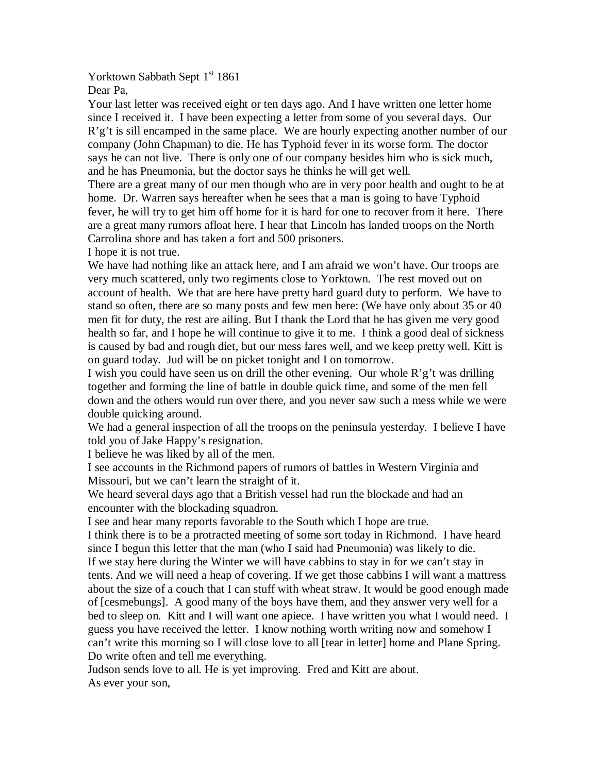Yorktown Sabbath Sept 1<sup>st</sup> 1861

Dear Pa,

Your last letter was received eight or ten days ago. And I have written one letter home since I received it. I have been expecting a letter from some of you several days. Our R'g't is sill encamped in the same place. We are hourly expecting another number of our company (John Chapman) to die. He has Typhoid fever in its worse form. The doctor says he can not live. There is only one of our company besides him who is sick much, and he has Pneumonia, but the doctor says he thinks he will get well.

There are a great many of our men though who are in very poor health and ought to be at home. Dr. Warren says hereafter when he sees that a man is going to have Typhoid fever, he will try to get him off home for it is hard for one to recover from it here. There are a great many rumors afloat here. I hear that Lincoln has landed troops on the North Carrolina shore and has taken a fort and 500 prisoners.

I hope it is not true.

We have had nothing like an attack here, and I am afraid we won't have. Our troops are very much scattered, only two regiments close to Yorktown. The rest moved out on account of health. We that are here have pretty hard guard duty to perform. We have to stand so often, there are so many posts and few men here: (We have only about 35 or 40 men fit for duty, the rest are ailing. But I thank the Lord that he has given me very good health so far, and I hope he will continue to give it to me. I think a good deal of sickness is caused by bad and rough diet, but our mess fares well, and we keep pretty well. Kitt is on guard today. Jud will be on picket tonight and I on tomorrow.

I wish you could have seen us on drill the other evening. Our whole R'g't was drilling together and forming the line of battle in double quick time, and some of the men fell down and the others would run over there, and you never saw such a mess while we were double quicking around.

We had a general inspection of all the troops on the peninsula yesterday. I believe I have told you of Jake Happy's resignation.

I believe he was liked by all of the men.

I see accounts in the Richmond papers of rumors of battles in Western Virginia and Missouri, but we can't learn the straight of it.

We heard several days ago that a British vessel had run the blockade and had an encounter with the blockading squadron.

I see and hear many reports favorable to the South which I hope are true.

I think there is to be a protracted meeting of some sort today in Richmond. I have heard since I begun this letter that the man (who I said had Pneumonia) was likely to die. If we stay here during the Winter we will have cabbins to stay in for we can't stay in tents. And we will need a heap of covering. If we get those cabbins I will want a mattress about the size of a couch that I can stuff with wheat straw. It would be good enough made of [cesmebungs]. A good many of the boys have them, and they answer very well for a bed to sleep on. Kitt and I will want one apiece. I have written you what I would need. I guess you have received the letter. I know nothing worth writing now and somehow I can't write this morning so I will close love to all [tear in letter] home and Plane Spring. Do write often and tell me everything.

Judson sends love to all. He is yet improving. Fred and Kitt are about. As ever your son,